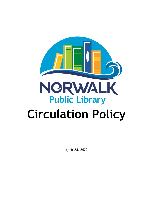

*April 28, 2022*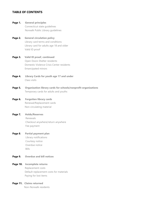# **TABLE OF CONTENTS**

- **Page 1. General principles** Connecticut state guidelines Norwalk Public Library guidelines
- **Page 2. General circulation policy** Library card terms and conditions Library card for adults age 18 and older Valid ID proof
- **Page 3. Valid ID proof, continued** Open Doors Shelter residents Domestic Violence Crisis Center residents Emancipated minors
- **Page 4. Library Cards for youth age 17 and under** Class visits
- **Page 5. Organization library cards for schools/nonprofit organizations** Temporary cards for adults and youths
- **Page 6. Forgotten library cards** Renewal/Replacement cards Non-circulating material
- **Page 7. Holds/Reserves** Renewals Checkout anywhere/return anywhere Fee payment
- **Page 8. Partial payment plan** Library notifications Courtesy notice Overdue notice Bills
- **Page 9. Overdue and bill notices**

#### **Page 10. Incomplete returns**

Replacement costs Default replacement costs for materials Paying for lost items

**Page 11. Claims returned**

Non-Norwalk residents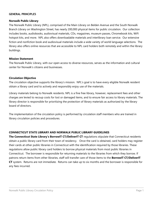## **GENERAL PRINCIPLES**

#### **Norwalk Public Library**

The Norwalk Public Library (NPL), comprised of the Main Library on Belden Avenue and the South Norwalk Branch Library on Washington Street, has nearly 200,000 physical items for public circulation. Our collection includes books, audiobooks, audiovisual materials, CDs, magazines, museum passes, Chromebook kits, WiFi hotspot kits, and more. NPL also offers downloadable materials and interlibrary loan service. Our extensive fiction and nonfiction book and audiovisual materials include a wide variety of world language selections. The library also offers online resources that are accessible to NPL card holders both remotely and within the library buildings.

### **Mission Statement**

The Norwalk Public Library, with our open access to diverse resources, serves as the information and cultural center for Norwalk's citizens and businesses.

#### **Circulation Objective**

The circulation objective supports the library's mission. NPL's goal is to have every eligible Norwalk resident obtain a library card and to actively and responsibly enjoy use of the materials.

Library materials belong to Norwalk residents. NPL is a fine free library, however, replacement fees and other charges are levied to recoup costs for lost or damaged items, and to ensure fair access to library materials. The library director is responsible for prioritizing the protection of library materials as authorized by the library board of directors.

The implementation of the circulation policy is performed by circulation staff members who are trained in library circulation policies and procedures.

### **CONNECTICUT STATE LIBRARY AND NORWALK PUBLIC LIBRARY GUIDELINES**

**The Connecticut State Library's BorrowIT CT/DeliverIT CT** regulations stipulate that Connecticut residents obtain a public library card from their town of residency. Once the card is obtained, card holders may register their cards at other public libraries in Connecticut with the identification required by those libraries. These regulations allow public library card holders to borrow physical materials from most public libraries in Connecticut. The borrower is responsible for returning materials to the libraries from which they borrow. If patrons return items from other libraries, staff will transfer care of those items to the **BorrowIT CT/DeliverIT CT** system. Returns are not immediate. Returns can take up to six months and the borrower is responsible for any fees incurred.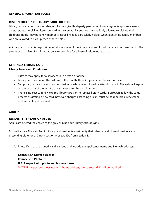## **GENERAL CIRCULATION POLICY**

### **RESPONSIBILITIES OF LIBRARY CARD HOLDERS**

Library cards are non-transferrable. Adults may give third-party permission to a designee (a spouse, a nanny, caretaker, etc.) to pick up items on hold in their stead. Parents are automatically allowed to pick up their children's holds. Having family members' cards linked is particularly helpful when identifying family members who are allowed to pick up each other's holds.

A library card owner is responsible for all use made of the library card and for all materials borrowed on it. The parent or guardian of a minor patron is responsible for all use of said minor's card.

## **GETTING A LIBRARY CARD**

## **Library Terms and Conditions**

- Patrons may apply for a library card in person or online.
- Library cards expire on the last day of the month, three (3) years after the card is issued.
- Temporary cards and cards for non-residents who are employed or attend school in Norwalk will expire on the last day of the month, one (1) year after the card is issued.
- There is no cost to renew expired library cards, or to replace library cards. Borrowers follow the same process as getting a new card; however, charges exceeding \$20.00 must be paid before a renewal or replacement card is issued.

### **ADULTS**

### **RESIDENTS 18 YEARS OR OLDER**

Adults are offered the choice of the grey or blue adult library card designs.

To qualify for a Norwalk Public Library card, residents must verify their identity and Norwalk residency by presenting either one ID from section A or two IDs from section B.

A. Photo IDs that are signed, valid, current, and include the applicant's name and Norwalk address:

\_\_\_\_\_\_\_\_\_\_\_\_\_\_\_\_\_\_\_\_\_\_\_\_\_\_\_\_\_\_\_\_\_\_\_\_\_\_\_\_\_\_\_\_\_\_\_\_\_\_\_\_\_\_\_\_\_\_\_\_\_\_\_\_\_\_\_\_\_\_\_\_\_\_\_\_\_\_\_\_\_\_\_\_\_\_\_\_\_\_\_\_\_\_\_\_\_\_\_\_\_\_\_\_\_\_\_\_\_\_\_\_\_\_\_\_\_\_\_\_\_\_\_\_\_\_\_\_\_\_

**Connecticut Driver's License Connecticut Photo ID U.S. Passport with photo and home address** NOTE: If the passport does not list a home address, then a second ID will be required.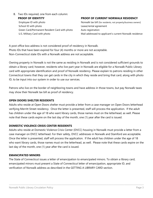B. Two IDs required, one from each column:

School ID with photo and the control of the Lease/rental agreement Green Card/Permanent Resident Card with photo Auto registration

## **PROOF OF IDENTITY PROOF OF CURRENT NORWALK RESIDENCY**

Employee ID with photo Norwalk tax bill (for residents, not property/business owners) U.S. Military Card with photo **Mail addressed to applicant's current Norwalk residence** 

A post office box address is not considered proof of residency in Norwalk. Photo IDs that have been expired for four (4) months or more are not acceptable. Non-Connecticut state IDs with a Norwalk address are not acceptable.

Owning property in Norwalk is not the same as residing in Norwalk and is not considered sufficient grounds to obtain a library card; however, residents who live part-year in Norwalk are eligible for a Norwalk Public Library card with appropriate identification and proof of Norwalk residency. Please explain to patrons residing in other Connecticut towns that they can get cards in the city in which they reside and bring that card, along with photo ID, to be input into our system in order to use our services.

Patrons who live on the border of neighboring towns and have address in those towns, but pay Norwalk taxes may show their Norwalk tax bill as proof of residency.

# **OPEN DOORS SHELTER RESIDENTS**

Adults who reside at Open Doors shelter must provide a letter from a case manager on Open Doors letterhead verifying Merritt Street residency. Once the letter is presented, staff will process the application. If the adult has children under the age of 18 who want library cards, those names must on the letterhead, as well. Please note that these cards expire on the last day of the month, one (1) year after the card is issued.

# **DOMESTIC VIOLENCE CRISIS CENTER RESIDENTS**

Adults who reside at Domestic Violence Crisis Center (DVCC) housing in Norwalk must provide a letter from a case manager on DVCC letterhead. For their safety, DVCC addresses in Norwalk and Stamford are acceptable. Once the letter is presented, staff will process the application. If the adult has children under the age of 18 who want library cards, those names must on the letterhead, as well. Please note that these cards expire on the last day of the month, one (1) year after the card is issued.

# **EMANCIPATED MINORS**

The State of Connecticut issues a letter of emancipation to emancipated minors. To obtain a library card, emancipated minors must present a State of Connecticut letter of emancipation, appropriate ID, and verification of Norwalk address as described in the GETTING A LIBRARY CARD section.

 $\_$  ,  $\_$  ,  $\_$  ,  $\_$  ,  $\_$  ,  $\_$  ,  $\_$  ,  $\_$  ,  $\_$  ,  $\_$  ,  $\_$  ,  $\_$  ,  $\_$  ,  $\_$  ,  $\_$  ,  $\_$  ,  $\_$  ,  $\_$  ,  $\_$  ,  $\_$  ,  $\_$  ,  $\_$  ,  $\_$  ,  $\_$  ,  $\_$  ,  $\_$  ,  $\_$  ,  $\_$  ,  $\_$  ,  $\_$  ,  $\_$  ,  $\_$  ,  $\_$  ,  $\_$  ,  $\_$  ,  $\_$  ,  $\_$  ,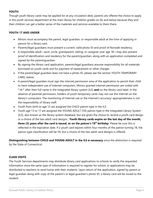# **YOUTH**

Though youth library cards may be applied for at any circulation desk, parents are offered the choice to apply in the youth services department at the main library for children grades six (6) and below because they and their children can get a better sense of the materials and services available to them there.

# **YOUTH 17 AND UNDER**

- Minors must accompany the parent, legal guardian, or responsible adult at the time of applying in person for a library card.
- Parents/legal guardians must present a current, valid photo ID and proof of Norwalk residency.
- A responsible adult—aunt, uncle, grandparent, sibling, or caregiver over age 18—may also present proof of identification and residency for the parent/guardian, along with an application completed and signed by the parent/guardian.
- By signing the library card application, parents/legal guardians assume responsibility for all materials borrowed on youth cards and for payment of replacement or other charges.
- If the parent/legal guardian does not have a photo ID, please see the section YOUTH TEMPORARY CARD, below.
- A parent/legal guardian must sign the internet permission area of the application to permit their child to have independent use of Internet computers. Minors granted internet permission are coded with **"–I–"** after their full name in the integrated library system (ILS) **and** on the library card label. In the absence of parental permission, holders of youth temporary cards may not use the internet on the library's computers. The monitoring of Internet use or the Internet's accuracy/ appropriateness is not the responsibility of library staff.
- Youth from birth to age 12 are assigned the CHILD patron type in the ILS.
- Youth age 13 to 17 are assigned the YOUNG ADULT (YA) patron type in the Integrated Library System (ILS), also known as the library system database, but are given the choice to receive a youth card design or a choice of the two adult card designs. **Youth library cards expire on the last day of the month, three (3) years after the card is issued, or on the patron's 18th birthday**. Please be sure this is reflected in the expiration date. If a youth card expires within four months of the patron turning 18, the patron type classification will be YA, but a choice of the two adult card designs is offered.

**Distinguishing between CHILD and YOUNG ADULT in the ILS is necessary** since the distinction is required by the State of Connecticut.

# **CLASS VISITS**

The Youth Services departments may distribute library card applications to schools to verify the requested information since the same type of information is required to register for school, or applications may be distributed to teachers to send home with their students. Upon return of the application, signed by parent or legal guardian along with copy of the parent's or legal guardian's photo ID, a library card will be issued to the student.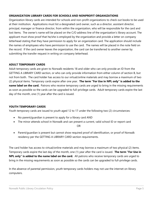# **ORGANIZATION LIBRARY CARDS FOR SCHOOLS AND NONPROFIT ORGANIZATIONS**

Organization library cards are intended for schools and non-profit organizations to check out books to be used at their institution. Applications must list a designated card owner, such as a director, assistant director, principal, manager or finance director, from within the organization, who will be responsible for the card and lost items. The owner's name will be placed on the C/O address line of the organization's library account. The applicant must show proof that he/she is employed by the organization and provide a letter on company letterhead stating that they have permission to apply for an organization card. The application should include the names of employees who have permission to use the card. The names will be placed in the note field on the record. If the card owner leaves the organization, the card can be transferred to another owner by submitting the transfer request in writing on company letterhead.

# **ADULT TEMPORARY CARDS**

Adult temporary cards are given to Norwalk residents 18 and older who can only provide an ID from the GETTING A LIBRARY CARD section, or who can only provide information from either column of section B, but not from both. The card holder has access to our virtual/online materials and may borrow a maximum of two (2) physical items. Temporary cards expire after one year. **The term "For Use in NPL only" is added to the name label on the card.** Patrons who receive temporary cards are urged to bring in the missing requirements as soon as possible so the cards can be upgraded to full-privilege cards. Adult temporary cards expire the last day of the month, one (1) year after the card is issued.

# **YOUTH TEMPORARY CARDS**

Youth temporary cards are issued to youth aged 12 to 17 under the following two (2) circumstances:

- No parent/guardian is present to apply for a library card AND
- The minor attends school in Norwalk and can present a current, valid school ID or report card

OR

 Parent/guardian is present but cannot show required proof of identification, or proof of Norwalk residency per the GETTING A LIBRARY CARD section requirements.

The card holder has access to virtual/online materials and may borrow a maximum of two physical (2) items. Temporary cards expire the last day of the month, one (1) year after the card is issued. **The term "For Use in NPL only" is added to the name label on the card.** All patrons who receive temporary cards are urged to bring in the missing requirements as soon as possible so the cards can be upgraded to full-privilege cards.

In the absence of parental permission, youth temporary cards holders may not use the internet on library computers.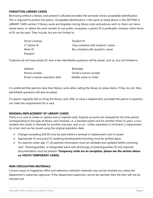# **FORGOTTEN LIBRARY CARDS**

Borrowing without a library card present is allowed provided the borrower shows acceptable identification. This is required to protect the patron. Acceptable identification is the same as listed above in the GETTING A LIBRARY CARD section. If library cards are forgotten during library visits and patrons wish to check out items, renew items, or obtain the card number to use public computers, a photo ID is preferable; however other forms of ID can be used. They include, but are not limited to:

| Driver's license | Student ID                         |
|------------------|------------------------------------|
| $CT$ photo $ID$  | Class schedule with student's name |
| Work ID          | Bus schedule with student's name   |
| Passport         |                                    |

If patrons do not have photo ID, then a few identifiable questions will be asked, such as, but not limited to:

| <b>Address</b>                   | Birthdate               |
|----------------------------------|-------------------------|
| Phone number                     | Driver's license number |
| Driver's license expiration date | Middle name or initial  |

It is preferred that patrons have their library cards when calling the library to renew items. If they do not, then identifiable questions will also be asked.

If a patron regularly fails to bring the library card, offer to issue a replacement, provided the patron in question can meet the requirements for a card.

### **RENEWAL/REPLACEMENT OF LIBRARY CARDS**

There is no cost to renew or replace lost or expired cards. Expired accounts are renewed for the time period corresponding to the type of library card involved, i.e. a standard adult card for another three (3) years, a nonresident who works in Norwalk for another one year, and so on. Unless expiration is imminent, a replacement for a lost card can be issued using the original expiration date.

- Charges exceeding \$20.00 must be paid before a renewal or replacement card is issued.
- Appropriate ID and proof of residency/employment/schooling must be verified again.
- For patrons under age 17, all parental information must be validated and updated before renewing card. Parent/guardian, or designated adult with photocopy of parent/guardian ID and required documentation must be present. **Temporary cards are an exception, please see the section above on YOUTH TEMPORARY CARDS.**

### **NON-CIRCULATING MATERIALS**

Current issues of magazines office and reference collection materials may not be checked out unless the department's supervisor approves. If the department supervisor cannot be reached, then the item will not be checked out.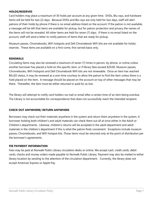# **HOLDS/RESERVES**

Card holders may place a maximum of 30 holds per account at any given time. DVDs, Blu-rays, and hardware items will be held for two (2) days. Because DVDs and Blu-rays are only held for two days, staff will alert patrons of their holds by phone if there is no email address listed on the account. If the patron is not available, a message will be left that items are available for pickup, but for patron protection and privacy the names of the items will not be revealed. All other items are held for seven (7) days. If there is no email listed on the account, staff will send a letter to notify patrons of items that are ready for pickup.

Museum passes, Chromebooks, WiFi hotspots and Dell Chromebook WiFi kits are not available for holds/ reserves. These items are available on a first-come, first-served basis only.

## **RENEWALS**

Circulating items may also be renewed a maximum of seven (7) times in person, by phone, or online unless another borrower has placed a hold on the specific item, or if library fees exceed \$20.00. Museum passes, Chromebooks, WiFi Hotspots and Dell Chromebook WiFi kits are not renewable. Once an item has reached BILLED status, it may be renewed as a one-time courtesy to allow the patron to find the item unless there is a hold placed on the item. A message should be placed on the account on top of other messages that may be there. Thereafter, the item must be either returned or paid for as lost.

The library will attempt to notify card holders via mail or email after a certain time of an item being overdue. The Library is not accountable for correspondence that does not successfully reach the intended recipient.

# **CHECK OUT ANYWHERE/ RETURN ANYWHERE**

Borrowers may check out their materials anywhere in the system and return them anywhere in the system. A borrower holding both children's and adult materials can check them out all at once either in the Adult or Children's departments. Likewise, children's returns will be accepted in the adult department and adult materials in the children's department if this is what the patron finds convenient. Exceptions include museum passes, Chromebooks, and WiFi hotspot kits. Those items must be returned only at the point of distribution per the borrower's agreements.

### **FEE PAYMENT INFORMATION**

Fees may be paid at Norwalk Public Library circulation desks or online. We accept cash, credit cards, debit cards, checks and money orders made payable to Norwalk Public Library. Payment may also be mailed to either library location by sending to the attention of the circulation department. Currently, the library does not accept American Express or Apple Pay.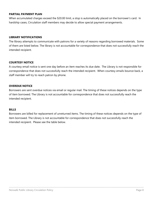## **PARTIAL PAYMENT PLAN**

When accumulated charges exceed the \$20.00 limit, a stop is automatically placed on the borrower's card. In hardship cases, Circulation staff members may decide to allow special payment arrangements.

## **LIBRARY NOTIFICATIONS**

The library attempts to communicate with patrons for a variety of reasons regarding borrowed materials. Some of them are listed below. The library is not accountable for correspondence that does not successfully reach the intended recipient.

## **COURTESY NOTICE**

A courtesy email notice is sent one day before an item reaches its due date. The Library is not responsible for correspondence that does not successfully reach the intended recipient. When courtesy emails bounce back, a staff member will try to reach patron by phone.

## **OVERDUE NOTICE**

Borrowers are sent overdue notices via email or regular mail. The timing of these notices depends on the type of item borrowed. The Library is not accountable for correspondence that does not successfully reach the intended recipient.

### **BILLS**

Borrowers are billed for replacement of unreturned items. The timing of these notices depends on the type of item borrowed. The Library is not accountable for correspondence that does not successfully reach the intended recipient. Please see the table below.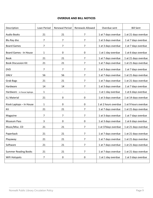# **OVERDUE AND BILL NOTICES**

| Description                 | Loan Period  | <b>Renewal Period</b> | Renewals Allowed | Overdue sent         | <b>Bill Sent</b>     |
|-----------------------------|--------------|-----------------------|------------------|----------------------|----------------------|
| <b>Audio Books</b>          | 21           | 21                    | 7                | 1 at 7 days overdue  | 1 at 21 days overdue |
| Blu Ray disc                | 7            | 7                     | 7                | 1 at 3 days overdue  | 1 at 7 days overdue  |
| <b>Board Games</b>          | 7            | 7                     | 7                | 1 at 3 days overdue  | 1 at 7 days overdue  |
| Board Games - In House      | 1            | 0                     | 0                | 1 at 1 day overdue   | 1 at 6 days overdue  |
| <b>Book</b>                 | 21           | 21                    | 7                | 1 at 7 days overdue  | 1 at 21 days overdue |
| <b>Book Discussion Kit</b>  | 21           | 21                    | $\overline{7}$   | 1 at 7 days overdue  | 1 at 21 days overdue |
| <b>DVD</b>                  | 7            | 7                     | $\overline{7}$   | 1 at 3 days overdue  | 1 at 7 days overdue  |
| <b>GNLV</b>                 | 56           | 56                    | $\overline{7}$   | 1 at 7 days overdue  | 1 at 21 days overdue |
| <b>Grab Bags</b>            | 21           | 21                    | 7                | 1 at 7 days overdue  | 1 at 21 days overdue |
| Hardware                    | 14           | 14                    | $\overline{7}$   | 1 at 3 days overdue  | 1 at 7 days overdue  |
| Hardware - in house laptops | 1            | $\blacksquare$        |                  | 1 at 1 day overdue   | 1 at 6 days overdue  |
| <b>ILL Material</b>         | 21           | 0                     | 0                | 1 at 3 days overdue  | 1 at 14 days overdue |
| Kiosk Laptops - In House    | $\mathbf{1}$ | 0                     | 0                | 1 at 2 hours overdue | 1 at 9 hours overdue |
| Kit                         | 21           | 21                    | 7                | 1 at 7 days overdue  | 1 at 21 days overdue |
| Magazine                    | 7            | 7                     | $\overline{7}$   | 1 at 3 days overdue  | 1 at 7 days overdue  |
| <b>Museum Pass</b>          | 3            | 0                     | 0                | 1 at 3 days overdue  | 1 at 6 days overdue  |
| Music/Misc. CD              | 21           | 21                    | 7                | 1 at 37 days overdue | 1 at 21 days overdue |
| Paperback                   | 21           | 21                    | 7                | 1 at 7 days overdue  | 1 at 21 days overdue |
| Playaway                    | 21           | 21                    | 7                | 1 at 7 days overdue  | 1 at 21 days overdue |
| Software                    | 21           | 21                    | $\overline{7}$   | 1 at 7 days overdue  | 1 at 21 days overdue |
| <b>Summer Reading Books</b> | 21           | 21                    | $\overline{7}$   | 1 at 7 days overdue  | 1 at 21 days overdue |
| WiFi Hotspots               | 7            | 0                     | 0                | 1 at 1 day overdue   | 1 at 3 days overdue  |
|                             |              |                       |                  |                      |                      |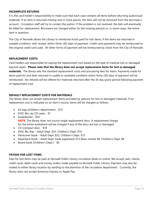## **INCOMPLETE RETURNS**

It is the card holder's responsibility to make sure that each case contains all items before returning audiovisual materials. If an item is returned missing one or more pieces, the item will not be removed from the borrower's account. Circulation staff will try to contact the patron. If the problem is not resolved, the item will eventually be billed for replacement. Borrowers are charged either for the missing piece(s) or, in some cases, the entire item in question.

The City of Norwalk allows the Library to reimburse funds paid for lost items, if the items are returned in useable condition, with receipt, within thirty (30) days of payment. Credit card payments may be reimbursed to the original credit card used. All other forms of payment will be reimbursed by check from the City of Norwalk.

### **REPLACEMENT COSTS**

Card holders are responsible for paying the replacement cost based on the type of material lost or damaged beyond repair. **Please note that the library does not accept replacement items for lost or damaged materials.** The library sets the standard replacement costs and processing fees for items. Payments made for items paid for and then returned in usable or workable condition within thirty (30) days of payment will be reimbursed. No refunds will be offered for materials returned after the 30-day grace period following payment of replacement cost.

## **DEFAULT REPLACEMENT COSTS FOR MATERIALS**

The library does not accept replacement items provided by patrons for lost or damaged materials. If no replacement cost is indicated on an item's record, items will be charged as follows:

- Kit bag (children's department) \$10
- DVD, Blu-ray CD cases \$1
- Audiobooks \$50 **NOTE**: The library does not source single replacement discs. A replacement charge for the entire audiobook will be charged if any of the discs are lost or damaged.
- CD (compact disc) \$18
- DVD, Blu-Ray Adult Dept. \$25, Children's Dept. \$10
- Hardcover book Adult Dept. \$25, Children's Dept. \$15
- Paperback book Adult Dept. trade paperback \$15 Mass market \$8, Children's Dept. \$8
- Board book (Children's Dept.) \$6

# **PAYING FOR LOST ITEMS**

Fees for lost items may be paid at Norwalk Public Library circulation desks or online. We accept cash, checks, credit cards, debit cards and money orders made payable to Norwalk Public Library. Payment may also be mailed to either library location by sending to the attention of the circulation department. Currently, the library does not accept American Express or Apple Pay.